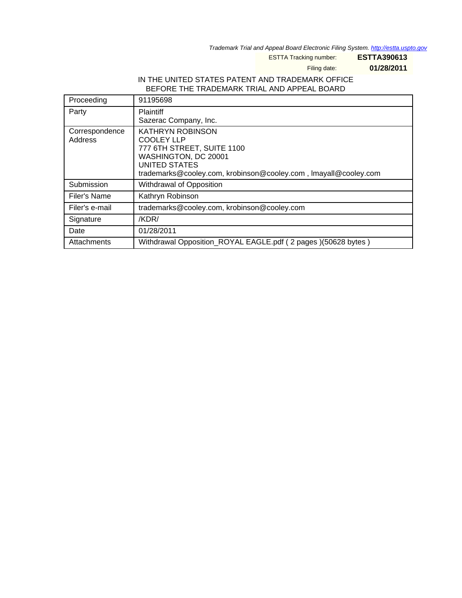Trademark Trial and Appeal Board Electronic Filing System. http://estta.uspto.gov

ESTTA Tracking number: **ESTTA390613**

Filing date: **01/28/2011**

# IN THE UNITED STATES PATENT AND TRADEMARK OFFICE BEFORE THE TRADEMARK TRIAL AND APPEAL BOARD

| Proceeding                | 91195698                                                                                                                                                                               |
|---------------------------|----------------------------------------------------------------------------------------------------------------------------------------------------------------------------------------|
| Party                     | Plaintiff<br>Sazerac Company, Inc.                                                                                                                                                     |
| Correspondence<br>Address | <b>KATHRYN ROBINSON</b><br><b>COOLEY LLP</b><br>777 6TH STREET, SUITE 1100<br>WASHINGTON, DC 20001<br>UNITED STATES<br>trademarks@cooley.com, krobinson@cooley.com, Imayall@cooley.com |
| Submission                | Withdrawal of Opposition                                                                                                                                                               |
| Filer's Name              | Kathryn Robinson                                                                                                                                                                       |
| Filer's e-mail            | trademarks@cooley.com, krobinson@cooley.com                                                                                                                                            |
| Signature                 | /KDR/                                                                                                                                                                                  |
| Date                      | 01/28/2011                                                                                                                                                                             |
| Attachments               | Withdrawal Opposition_ROYAL EAGLE.pdf (2 pages)(50628 bytes)                                                                                                                           |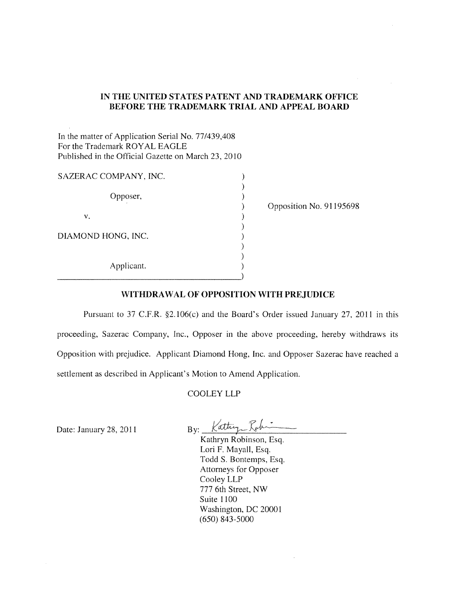## **IN THE UNITED** STATES PATENT **AND TRADEMARK OFFICE BEFORE THE TRADEMARK TRIAL AND APPEAL BOARD**

In the matter of Application Serial No. *77/439,408*  For the Trademark ROYAL EAGLE Published in the Official Gazette on March 23,2010

| SAZERAC COMPANY, INC. |  |
|-----------------------|--|
| Opposer,              |  |
| v.                    |  |
| DIAMOND HONG, INC.    |  |
| Applicant.            |  |

Opposition No. 91195698

#### **WITHDRA W AL OF OPPOSITION WITH PREJUDICE**

Pursuant to 37 C.F.R. §2.106(c) and the Board's Order issued January 27, 2011 in this proceeding, Sazerac Company, Inc., Opposer in the above proceeding, hereby withdraws its Opposition with prejudice. Applicant Diamond Hong, Inc. and Opposer Sazerac have reached a settlement as described in Applicant's Motion to Amend Application.

#### COOLEY LLP

Date: January 28, 2011

 $Bv:$  Kattug  $\mathcal{R}_{\theta}\mu-$ 

Kathryn Robinson, Esq. Lori F. Mayall, Esq. Todd S. Bontemps, Esq. Attorneys for Opposer Cooley LLP 777 6th Street, NW Suite 1100 Washington, DC 20001 (650) 843-5000